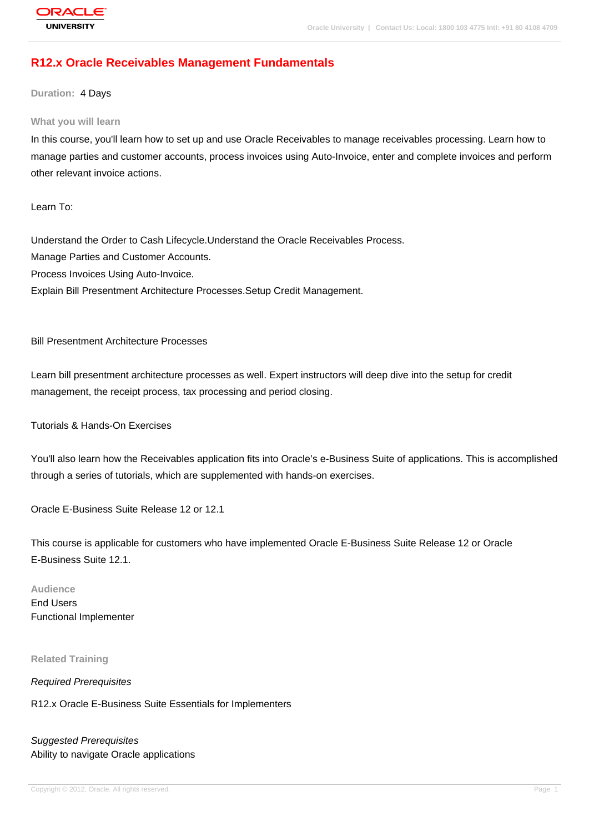# **R12.x Oracle Receivables Management Fundamentals**

**Duration:** 4 Days

#### **What you will learn**

In this course, you'll learn how to set up and use Oracle Receivables to manage receivables processing. Learn how to manage parties and customer accounts, process invoices using Auto-Invoice, enter and complete invoices and perform other relevant invoice actions.

Learn To:

Understand the Order to Cash Lifecycle.Understand the Oracle Receivables Process. Manage Parties and Customer Accounts. Process Invoices Using Auto-Invoice. Explain Bill Presentment Architecture Processes.Setup Credit Management.

#### Bill Presentment Architecture Processes

Learn bill presentment architecture processes as well. Expert instructors will deep dive into the setup for credit management, the receipt process, tax processing and period closing.

Tutorials & Hands-On Exercises

You'll also learn how the Receivables application fits into Oracle's e-Business Suite of applications. This is accomplished through a series of tutorials, which are supplemented with hands-on exercises.

Oracle E-Business Suite Release 12 or 12.1

This course is applicable for customers who have implemented Oracle E-Business Suite Release 12 or Oracle E-Business Suite 12.1.

#### **Audience**

End Users Functional Implementer

#### **Related Training**

Required Prerequisites

R12.x Oracle E-Business Suite Essentials for Implementers

Suggested Prerequisites Ability to navigate Oracle applications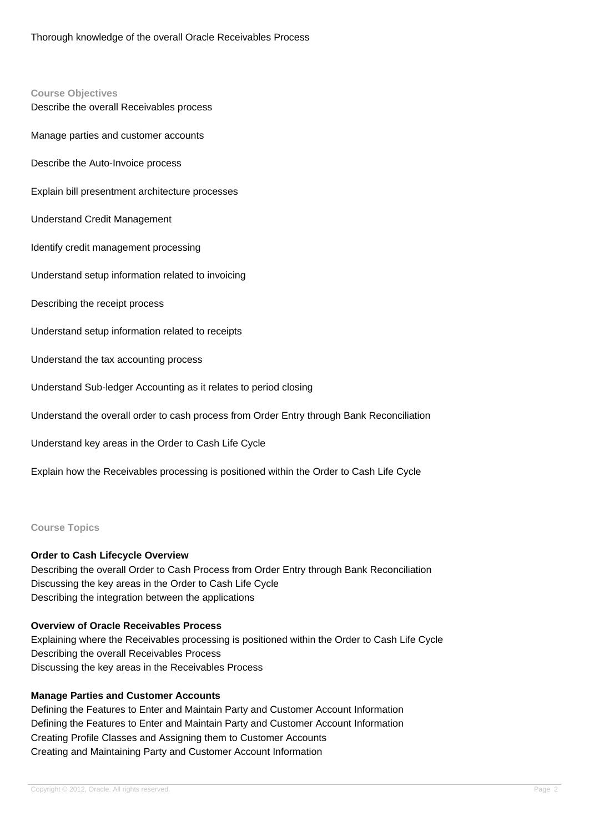# **Course Objectives** Describe the overall Receivables process Manage parties and customer accounts Describe the Auto-Invoice process Explain bill presentment architecture processes Understand Credit Management Identify credit management processing Understand setup information related to invoicing Describing the receipt process Understand setup information related to receipts Understand the tax accounting process Understand Sub-ledger Accounting as it relates to period closing Understand the overall order to cash process from Order Entry through Bank Reconciliation Understand key areas in the Order to Cash Life Cycle Explain how the Receivables processing is positioned within the Order to Cash Life Cycle

**Course Topics**

#### **Order to Cash Lifecycle Overview**

Describing the overall Order to Cash Process from Order Entry through Bank Reconciliation Discussing the key areas in the Order to Cash Life Cycle Describing the integration between the applications

#### **Overview of Oracle Receivables Process**

Explaining where the Receivables processing is positioned within the Order to Cash Life Cycle Describing the overall Receivables Process Discussing the key areas in the Receivables Process

#### **Manage Parties and Customer Accounts**

Defining the Features to Enter and Maintain Party and Customer Account Information Defining the Features to Enter and Maintain Party and Customer Account Information Creating Profile Classes and Assigning them to Customer Accounts Creating and Maintaining Party and Customer Account Information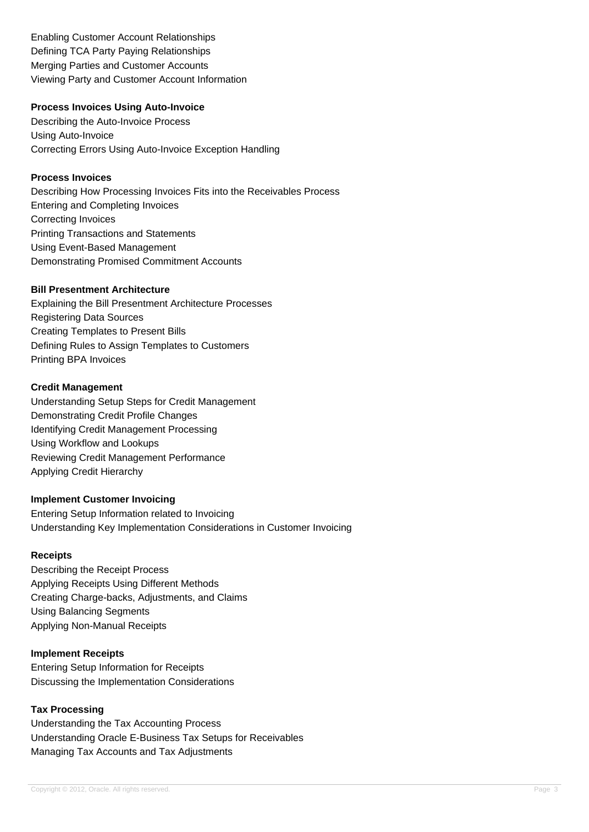Enabling Customer Account Relationships Defining TCA Party Paying Relationships Merging Parties and Customer Accounts Viewing Party and Customer Account Information

#### **Process Invoices Using Auto-Invoice**

Describing the Auto-Invoice Process Using Auto-Invoice Correcting Errors Using Auto-Invoice Exception Handling

#### **Process Invoices**

Describing How Processing Invoices Fits into the Receivables Process Entering and Completing Invoices Correcting Invoices Printing Transactions and Statements Using Event-Based Management Demonstrating Promised Commitment Accounts

#### **Bill Presentment Architecture**

Explaining the Bill Presentment Architecture Processes Registering Data Sources Creating Templates to Present Bills Defining Rules to Assign Templates to Customers Printing BPA Invoices

#### **Credit Management**

Understanding Setup Steps for Credit Management Demonstrating Credit Profile Changes Identifying Credit Management Processing Using Workflow and Lookups Reviewing Credit Management Performance Applying Credit Hierarchy

#### **Implement Customer Invoicing**

Entering Setup Information related to Invoicing Understanding Key Implementation Considerations in Customer Invoicing

#### **Receipts**

Describing the Receipt Process Applying Receipts Using Different Methods Creating Charge-backs, Adjustments, and Claims Using Balancing Segments Applying Non-Manual Receipts

#### **Implement Receipts**

Entering Setup Information for Receipts Discussing the Implementation Considerations

## **Tax Processing**

Understanding the Tax Accounting Process Understanding Oracle E-Business Tax Setups for Receivables Managing Tax Accounts and Tax Adjustments